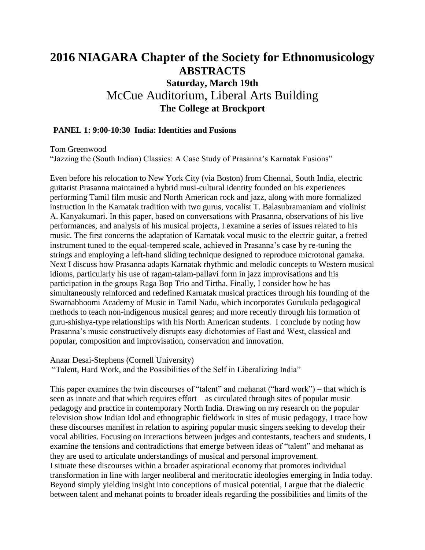# **2016 NIAGARA Chapter of the Society for Ethnomusicology ABSTRACTS Saturday, March 19th** McCue Auditorium, Liberal Arts Building **The College at Brockport**

#### **PANEL 1: 9:00-10:30 India: Identities and Fusions**

Tom Greenwood

"Jazzing the (South Indian) Classics: A Case Study of Prasanna's Karnatak Fusions"

Even before his relocation to New York City (via Boston) from Chennai, South India, electric guitarist Prasanna maintained a hybrid musi-cultural identity founded on his experiences performing Tamil film music and North American rock and jazz, along with more formalized instruction in the Karnatak tradition with two gurus, vocalist T. Balasubramaniam and violinist A. Kanyakumari. In this paper, based on conversations with Prasanna, observations of his live performances, and analysis of his musical projects, I examine a series of issues related to his music. The first concerns the adaptation of Karnatak vocal music to the electric guitar, a fretted instrument tuned to the equal-tempered scale, achieved in Prasanna's case by re-tuning the strings and employing a left-hand sliding technique designed to reproduce microtonal gamaka. Next I discuss how Prasanna adapts Karnatak rhythmic and melodic concepts to Western musical idioms, particularly his use of ragam-talam-pallavi form in jazz improvisations and his participation in the groups Raga Bop Trio and Tirtha. Finally, I consider how he has simultaneously reinforced and redefined Karnatak musical practices through his founding of the Swarnabhoomi Academy of Music in Tamil Nadu, which incorporates Gurukula pedagogical methods to teach non-indigenous musical genres; and more recently through his formation of guru-shishya-type relationships with his North American students. I conclude by noting how Prasanna's music constructively disrupts easy dichotomies of East and West, classical and popular, composition and improvisation, conservation and innovation.

Anaar Desai-Stephens (Cornell University)

"Talent, Hard Work, and the Possibilities of the Self in Liberalizing India"

This paper examines the twin discourses of "talent" and mehanat ("hard work") – that which is seen as innate and that which requires effort – as circulated through sites of popular music pedagogy and practice in contemporary North India. Drawing on my research on the popular television show Indian Idol and ethnographic fieldwork in sites of music pedagogy, I trace how these discourses manifest in relation to aspiring popular music singers seeking to develop their vocal abilities. Focusing on interactions between judges and contestants, teachers and students, I examine the tensions and contradictions that emerge between ideas of "talent" and mehanat as they are used to articulate understandings of musical and personal improvement. I situate these discourses within a broader aspirational economy that promotes individual transformation in line with larger neoliberal and meritocratic ideologies emerging in India today. Beyond simply yielding insight into conceptions of musical potential, I argue that the dialectic between talent and mehanat points to broader ideals regarding the possibilities and limits of the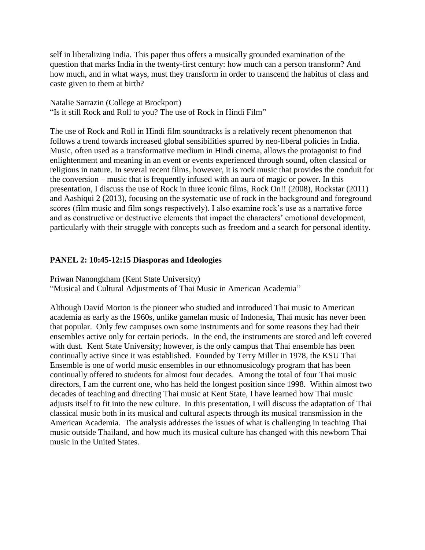self in liberalizing India. This paper thus offers a musically grounded examination of the question that marks India in the twenty-first century: how much can a person transform? And how much, and in what ways, must they transform in order to transcend the habitus of class and caste given to them at birth?

Natalie Sarrazin (College at Brockport) "Is it still Rock and Roll to you? The use of Rock in Hindi Film"

The use of Rock and Roll in Hindi film soundtracks is a relatively recent phenomenon that follows a trend towards increased global sensibilities spurred by neo-liberal policies in India. Music, often used as a transformative medium in Hindi cinema, allows the protagonist to find enlightenment and meaning in an event or events experienced through sound, often classical or religious in nature. In several recent films, however, it is rock music that provides the conduit for the conversion – music that is frequently infused with an aura of magic or power. In this presentation, I discuss the use of Rock in three iconic films, Rock On!! (2008), Rockstar (2011) and Aashiqui 2 (2013), focusing on the systematic use of rock in the background and foreground scores (film music and film songs respectively). I also examine rock's use as a narrative force and as constructive or destructive elements that impact the characters' emotional development, particularly with their struggle with concepts such as freedom and a search for personal identity.

# **PANEL 2: 10:45-12:15 Diasporas and Ideologies**

Priwan Nanongkham (Kent State University) "Musical and Cultural Adjustments of Thai Music in American Academia"

Although David Morton is the pioneer who studied and introduced Thai music to American academia as early as the 1960s, unlike gamelan music of Indonesia, Thai music has never been that popular. Only few campuses own some instruments and for some reasons they had their ensembles active only for certain periods. In the end, the instruments are stored and left covered with dust. Kent State University; however, is the only campus that Thai ensemble has been continually active since it was established. Founded by Terry Miller in 1978, the KSU Thai Ensemble is one of world music ensembles in our ethnomusicology program that has been continually offered to students for almost four decades. Among the total of four Thai music directors, I am the current one, who has held the longest position since 1998. Within almost two decades of teaching and directing Thai music at Kent State, I have learned how Thai music adjusts itself to fit into the new culture. In this presentation, I will discuss the adaptation of Thai classical music both in its musical and cultural aspects through its musical transmission in the American Academia. The analysis addresses the issues of what is challenging in teaching Thai music outside Thailand, and how much its musical culture has changed with this newborn Thai music in the United States.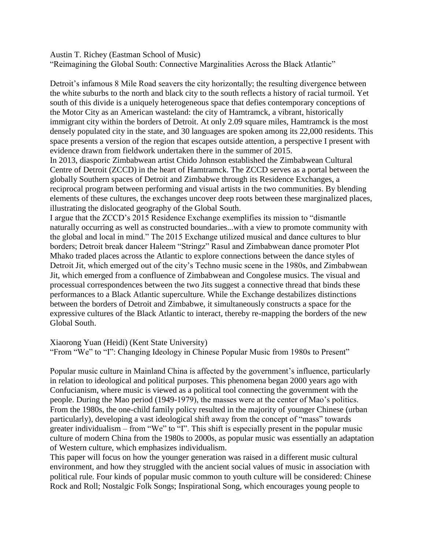Austin T. Richey (Eastman School of Music)

"Reimagining the Global South: Connective Marginalities Across the Black Atlantic"

Detroit's infamous 8 Mile Road seavers the city horizontally; the resulting divergence between the white suburbs to the north and black city to the south reflects a history of racial turmoil. Yet south of this divide is a uniquely heterogeneous space that defies contemporary conceptions of the Motor City as an American wasteland: the city of Hamtramck, a vibrant, historically immigrant city within the borders of Detroit. At only 2.09 square miles, Hamtramck is the most densely populated city in the state, and 30 languages are spoken among its 22,000 residents. This space presents a version of the region that escapes outside attention, a perspective I present with evidence drawn from fieldwork undertaken there in the summer of 2015.

In 2013, diasporic Zimbabwean artist Chido Johnson established the Zimbabwean Cultural Centre of Detroit (ZCCD) in the heart of Hamtramck. The ZCCD serves as a portal between the globally Southern spaces of Detroit and Zimbabwe through its Residence Exchanges, a reciprocal program between performing and visual artists in the two communities. By blending elements of these cultures, the exchanges uncover deep roots between these marginalized places, illustrating the dislocated geography of the Global South.

I argue that the ZCCD's 2015 Residence Exchange exemplifies its mission to "dismantle naturally occurring as well as constructed boundaries...with a view to promote community with the global and local in mind." The 2015 Exchange utilized musical and dance cultures to blur borders; Detroit break dancer Haleem "Stringz" Rasul and Zimbabwean dance promoter Plot Mhako traded places across the Atlantic to explore connections between the dance styles of Detroit Jit, which emerged out of the city's Techno music scene in the 1980s, and Zimbabwean Jit, which emerged from a confluence of Zimbabwean and Congolese musics. The visual and processual correspondences between the two Jits suggest a connective thread that binds these performances to a Black Atlantic superculture. While the Exchange destabilizes distinctions between the borders of Detroit and Zimbabwe, it simultaneously constructs a space for the expressive cultures of the Black Atlantic to interact, thereby re-mapping the borders of the new Global South.

Xiaorong Yuan (Heidi) (Kent State University)

"From "We" to "I": Changing Ideology in Chinese Popular Music from 1980s to Present"

Popular music culture in Mainland China is affected by the government's influence, particularly in relation to ideological and political purposes. This phenomena began 2000 years ago with Confucianism, where music is viewed as a political tool connecting the government with the people. During the Mao period (1949-1979), the masses were at the center of Mao's politics. From the 1980s, the one-child family policy resulted in the majority of younger Chinese (urban particularly), developing a vast ideological shift away from the concept of "mass" towards greater individualism – from "We" to "I". This shift is especially present in the popular music culture of modern China from the 1980s to 2000s, as popular music was essentially an adaptation of Western culture, which emphasizes individualism.

This paper will focus on how the younger generation was raised in a different music cultural environment, and how they struggled with the ancient social values of music in association with political rule. Four kinds of popular music common to youth culture will be considered: Chinese Rock and Roll; Nostalgic Folk Songs; Inspirational Song, which encourages young people to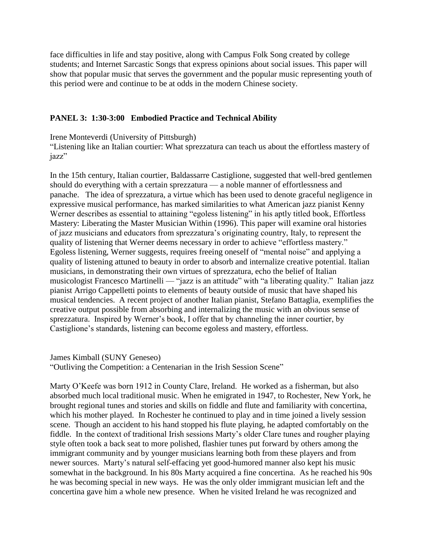face difficulties in life and stay positive, along with Campus Folk Song created by college students; and Internet Sarcastic Songs that express opinions about social issues. This paper will show that popular music that serves the government and the popular music representing youth of this period were and continue to be at odds in the modern Chinese society.

### **PANEL 3: 1:30-3:00 Embodied Practice and Technical Ability**

Irene Monteverdi (University of Pittsburgh)

"Listening like an Italian courtier: What sprezzatura can teach us about the effortless mastery of jazz"

In the 15th century, Italian courtier, Baldassarre Castiglione, suggested that well-bred gentlemen should do everything with a certain sprezzatura — a noble manner of effortlessness and panache. The idea of sprezzatura, a virtue which has been used to denote graceful negligence in expressive musical performance, has marked similarities to what American jazz pianist Kenny Werner describes as essential to attaining "egoless listening" in his aptly titled book, Effortless Mastery: Liberating the Master Musician Within (1996). This paper will examine oral histories of jazz musicians and educators from sprezzatura's originating country, Italy, to represent the quality of listening that Werner deems necessary in order to achieve "effortless mastery." Egoless listening, Werner suggests, requires freeing oneself of "mental noise" and applying a quality of listening attuned to beauty in order to absorb and internalize creative potential. Italian musicians, in demonstrating their own virtues of sprezzatura, echo the belief of Italian musicologist Francesco Martinelli — "jazz is an attitude" with "a liberating quality." Italian jazz pianist Arrigo Cappelletti points to elements of beauty outside of music that have shaped his musical tendencies. A recent project of another Italian pianist, Stefano Battaglia, exemplifies the creative output possible from absorbing and internalizing the music with an obvious sense of sprezzatura. Inspired by Werner's book, I offer that by channeling the inner courtier, by Castiglione's standards, listening can become egoless and mastery, effortless.

James Kimball (SUNY Geneseo)

"Outliving the Competition: a Centenarian in the Irish Session Scene"

Marty O'Keefe was born 1912 in County Clare, Ireland. He worked as a fisherman, but also absorbed much local traditional music. When he emigrated in 1947, to Rochester, New York, he brought regional tunes and stories and skills on fiddle and flute and familiarity with concertina, which his mother played. In Rochester he continued to play and in time joined a lively session scene. Though an accident to his hand stopped his flute playing, he adapted comfortably on the fiddle. In the context of traditional Irish sessions Marty's older Clare tunes and rougher playing style often took a back seat to more polished, flashier tunes put forward by others among the immigrant community and by younger musicians learning both from these players and from newer sources. Marty's natural self-effacing yet good-humored manner also kept his music somewhat in the background. In his 80s Marty acquired a fine concertina. As he reached his 90s he was becoming special in new ways. He was the only older immigrant musician left and the concertina gave him a whole new presence. When he visited Ireland he was recognized and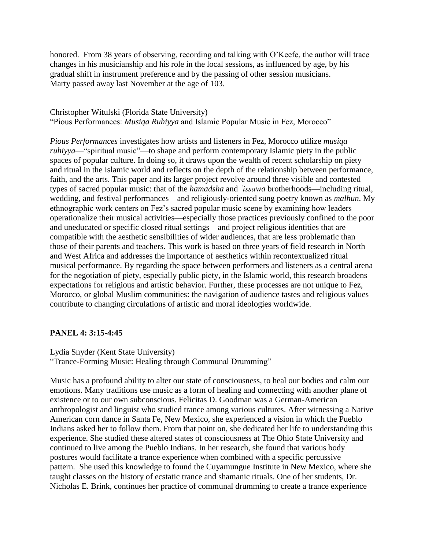honored. From 38 years of observing, recording and talking with O'Keefe, the author will trace changes in his musicianship and his role in the local sessions, as influenced by age, by his gradual shift in instrument preference and by the passing of other session musicians. Marty passed away last November at the age of 103.

Christopher Witulski (Florida State University) "Pious Performances: *Musiqa Ruhiyya* and Islamic Popular Music in Fez, Morocco"

*Pious Performances* investigates how artists and listeners in Fez, Morocco utilize *musiqa ruhiyya*—"spiritual music"—to shape and perform contemporary Islamic piety in the public spaces of popular culture. In doing so, it draws upon the wealth of recent scholarship on piety and ritual in the Islamic world and reflects on the depth of the relationship between performance, faith, and the arts. This paper and its larger project revolve around three visible and contested types of sacred popular music: that of the *hamadsha* and *ʿissawa* brotherhoods—including ritual, wedding, and festival performances—and religiously-oriented sung poetry known as *malhun*. My ethnographic work centers on Fez's sacred popular music scene by examining how leaders operationalize their musical activities—especially those practices previously confined to the poor and uneducated or specific closed ritual settings—and project religious identities that are compatible with the aesthetic sensibilities of wider audiences, that are less problematic than those of their parents and teachers. This work is based on three years of field research in North and West Africa and addresses the importance of aesthetics within recontextualized ritual musical performance. By regarding the space between performers and listeners as a central arena for the negotiation of piety, especially public piety, in the Islamic world, this research broadens expectations for religious and artistic behavior. Further, these processes are not unique to Fez, Morocco, or global Muslim communities: the navigation of audience tastes and religious values contribute to changing circulations of artistic and moral ideologies worldwide.

### **PANEL 4: 3:15-4:45**

Lydia Snyder (Kent State University)

"Trance-Forming Music: Healing through Communal Drumming"

Music has a profound ability to alter our state of consciousness, to heal our bodies and calm our emotions. Many traditions use music as a form of healing and connecting with another plane of existence or to our own subconscious. Felicitas D. Goodman was a German-American anthropologist and linguist who studied trance among various cultures. After witnessing a Native American corn dance in Santa Fe, New Mexico, she experienced a vision in which the Pueblo Indians asked her to follow them. From that point on, she dedicated her life to understanding this experience. She studied these altered states of consciousness at The Ohio State University and continued to live among the Pueblo Indians. In her research, she found that various body postures would facilitate a trance experience when combined with a specific percussive pattern. She used this knowledge to found the Cuyamungue Institute in New Mexico, where she taught classes on the history of ecstatic trance and shamanic rituals. One of her students, Dr. Nicholas E. Brink, continues her practice of communal drumming to create a trance experience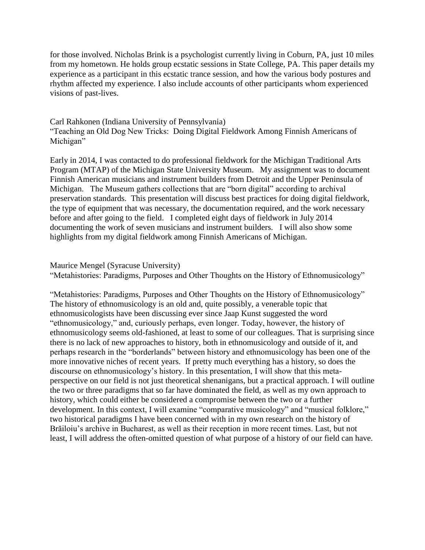for those involved. Nicholas Brink is a psychologist currently living in Coburn, PA, just 10 miles from my hometown. He holds group ecstatic sessions in State College, PA. This paper details my experience as a participant in this ecstatic trance session, and how the various body postures and rhythm affected my experience. I also include accounts of other participants whom experienced visions of past-lives.

# Carl Rahkonen (Indiana University of Pennsylvania) "Teaching an Old Dog New Tricks: Doing Digital Fieldwork Among Finnish Americans of Michigan"

Early in 2014, I was contacted to do professional fieldwork for the Michigan Traditional Arts Program (MTAP) of the Michigan State University Museum. My assignment was to document Finnish American musicians and instrument builders from Detroit and the Upper Peninsula of Michigan. The Museum gathers collections that are "born digital" according to archival preservation standards. This presentation will discuss best practices for doing digital fieldwork, the type of equipment that was necessary, the documentation required, and the work necessary before and after going to the field. I completed eight days of fieldwork in July 2014 documenting the work of seven musicians and instrument builders. I will also show some highlights from my digital fieldwork among Finnish Americans of Michigan.

#### Maurice Mengel (Syracuse University)

"Metahistories: Paradigms, Purposes and Other Thoughts on the History of Ethnomusicology"

"Metahistories: Paradigms, Purposes and Other Thoughts on the History of Ethnomusicology" The history of ethnomusicology is an old and, quite possibly, a venerable topic that ethnomusicologists have been discussing ever since Jaap Kunst suggested the word "ethnomusicology," and, curiously perhaps, even longer. Today, however, the history of ethnomusicology seems old-fashioned, at least to some of our colleagues. That is surprising since there is no lack of new approaches to history, both in ethnomusicology and outside of it, and perhaps research in the "borderlands" between history and ethnomusicology has been one of the more innovative niches of recent years. If pretty much everything has a history, so does the discourse on ethnomusicology's history. In this presentation, I will show that this metaperspective on our field is not just theoretical shenanigans, but a practical approach. I will outline the two or three paradigms that so far have dominated the field, as well as my own approach to history, which could either be considered a compromise between the two or a further development. In this context, I will examine "comparative musicology" and "musical folklore," two historical paradigms I have been concerned with in my own research on the history of Brăiloiu's archive in Bucharest, as well as their reception in more recent times. Last, but not least, I will address the often-omitted question of what purpose of a history of our field can have.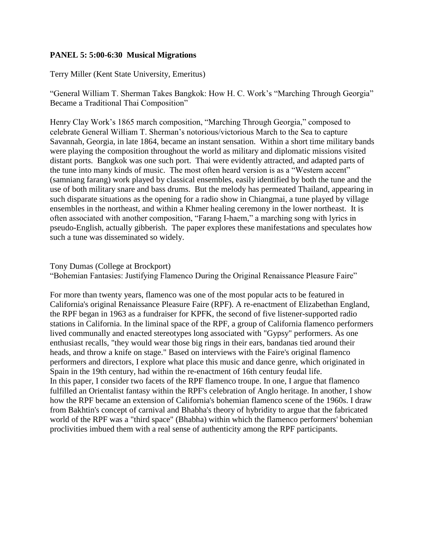#### **PANEL 5: 5:00-6:30 Musical Migrations**

Terry Miller (Kent State University, Emeritus)

"General William T. Sherman Takes Bangkok: How H. C. Work's "Marching Through Georgia" Became a Traditional Thai Composition"

Henry Clay Work's 1865 march composition, "Marching Through Georgia," composed to celebrate General William T. Sherman's notorious/victorious March to the Sea to capture Savannah, Georgia, in late 1864, became an instant sensation. Within a short time military bands were playing the composition throughout the world as military and diplomatic missions visited distant ports. Bangkok was one such port. Thai were evidently attracted, and adapted parts of the tune into many kinds of music. The most often heard version is as a "Western accent" (samniang farang) work played by classical ensembles, easily identified by both the tune and the use of both military snare and bass drums. But the melody has permeated Thailand, appearing in such disparate situations as the opening for a radio show in Chiangmai, a tune played by village ensembles in the northeast, and within a Khmer healing ceremony in the lower northeast. It is often associated with another composition, "Farang I-haem," a marching song with lyrics in pseudo-English, actually gibberish. The paper explores these manifestations and speculates how such a tune was disseminated so widely.

Tony Dumas (College at Brockport)

"Bohemian Fantasies: Justifying Flamenco During the Original Renaissance Pleasure Faire"

For more than twenty years, flamenco was one of the most popular acts to be featured in California's original Renaissance Pleasure Faire (RPF). A re-enactment of Elizabethan England, the RPF began in 1963 as a fundraiser for KPFK, the second of five listener-supported radio stations in California. In the liminal space of the RPF, a group of California flamenco performers lived communally and enacted stereotypes long associated with "Gypsy" performers. As one enthusiast recalls, "they would wear those big rings in their ears, bandanas tied around their heads, and throw a knife on stage." Based on interviews with the Faire's original flamenco performers and directors, I explore what place this music and dance genre, which originated in Spain in the 19th century, had within the re-enactment of 16th century feudal life. In this paper, I consider two facets of the RPF flamenco troupe. In one, I argue that flamenco fulfilled an Orientalist fantasy within the RPF's celebration of Anglo heritage. In another, I show how the RPF became an extension of California's bohemian flamenco scene of the 1960s. I draw from Bakhtin's concept of carnival and Bhabha's theory of hybridity to argue that the fabricated world of the RPF was a "third space" (Bhabha) within which the flamenco performers' bohemian proclivities imbued them with a real sense of authenticity among the RPF participants.